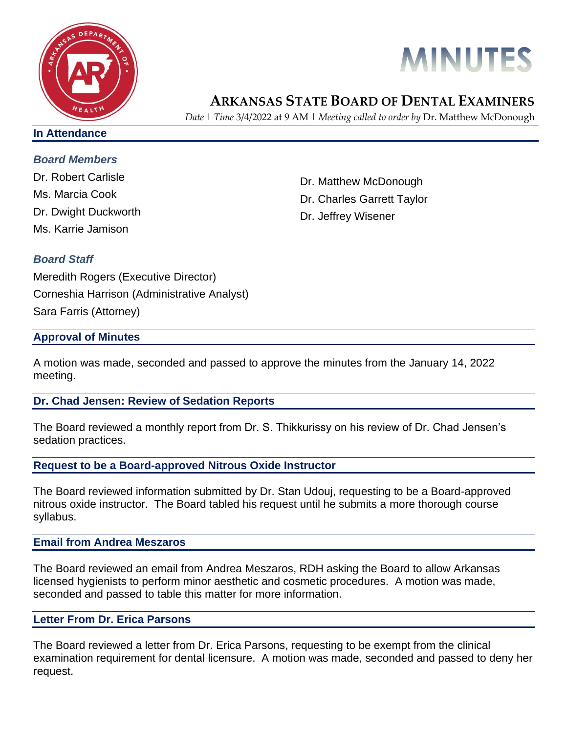



# **ARKANSAS STATE BOARD OF DENTAL EXAMINERS**

*Date | Time* 3/4/2022 at 9 AM | *Meeting called to order by* Dr. Matthew McDonough

#### **In Attendance**

# *Board Members*

Dr. Robert Carlisle Ms. Marcia Cook Dr. Dwight Duckworth Ms. Karrie Jamison

Dr. Matthew McDonough Dr. Charles Garrett Taylor Dr. Jeffrey Wisener

# *Board Staff*

Meredith Rogers (Executive Director) Corneshia Harrison (Administrative Analyst) Sara Farris (Attorney)

# **Approval of Minutes**

A motion was made, seconded and passed to approve the minutes from the January 14, 2022 meeting.

# **Dr. Chad Jensen: Review of Sedation Reports**

The Board reviewed a monthly report from Dr. S. Thikkurissy on his review of Dr. Chad Jensen's sedation practices.

# **Request to be a Board-approved Nitrous Oxide Instructor**

The Board reviewed information submitted by Dr. Stan Udouj, requesting to be a Board-approved nitrous oxide instructor. The Board tabled his request until he submits a more thorough course syllabus.

#### **Email from Andrea Meszaros**

The Board reviewed an email from Andrea Meszaros, RDH asking the Board to allow Arkansas licensed hygienists to perform minor aesthetic and cosmetic procedures. A motion was made, seconded and passed to table this matter for more information.

#### **Letter From Dr. Erica Parsons**

The Board reviewed a letter from Dr. Erica Parsons, requesting to be exempt from the clinical examination requirement for dental licensure. A motion was made, seconded and passed to deny her request.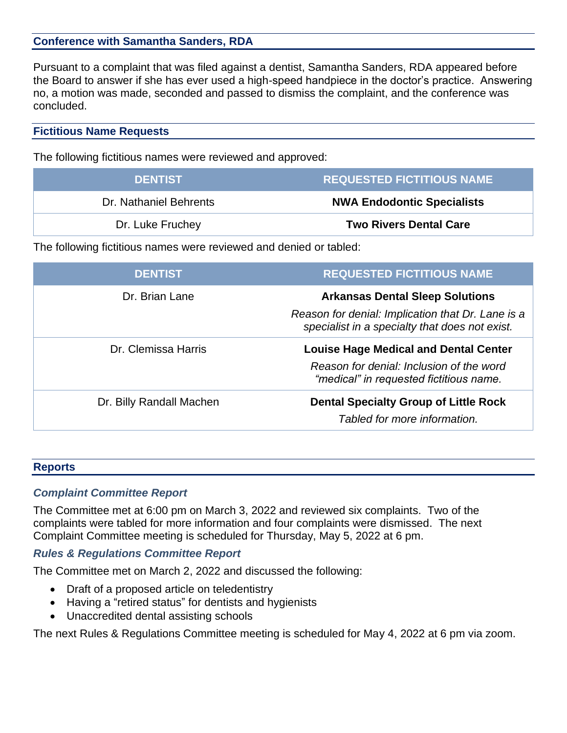# **Conference with Samantha Sanders, RDA**

Pursuant to a complaint that was filed against a dentist, Samantha Sanders, RDA appeared before the Board to answer if she has ever used a high-speed handpiece in the doctor's practice. Answering no, a motion was made, seconded and passed to dismiss the complaint, and the conference was concluded.

#### **Fictitious Name Requests**

The following fictitious names were reviewed and approved:

| <b>DENTIST</b>         | <b>REQUESTED FICTITIOUS NAME</b>  |
|------------------------|-----------------------------------|
| Dr. Nathaniel Behrents | <b>NWA Endodontic Specialists</b> |
| Dr. Luke Fruchey       | <b>Two Rivers Dental Care</b>     |

The following fictitious names were reviewed and denied or tabled:

| <b>DENTIST</b>           | <b>REQUESTED FICTITIOUS NAME</b>                                                                    |
|--------------------------|-----------------------------------------------------------------------------------------------------|
| Dr. Brian Lane           | <b>Arkansas Dental Sleep Solutions</b>                                                              |
|                          | Reason for denial: Implication that Dr. Lane is a<br>specialist in a specialty that does not exist. |
| Dr. Clemissa Harris      | <b>Louise Hage Medical and Dental Center</b>                                                        |
|                          | Reason for denial: Inclusion of the word<br>"medical" in requested fictitious name.                 |
| Dr. Billy Randall Machen | <b>Dental Specialty Group of Little Rock</b><br>Tabled for more information.                        |
|                          |                                                                                                     |

#### **Reports**

#### *Complaint Committee Report*

The Committee met at 6:00 pm on March 3, 2022 and reviewed six complaints. Two of the complaints were tabled for more information and four complaints were dismissed. The next Complaint Committee meeting is scheduled for Thursday, May 5, 2022 at 6 pm.

# *Rules & Regulations Committee Report*

The Committee met on March 2, 2022 and discussed the following:

- Draft of a proposed article on teledentistry
- Having a "retired status" for dentists and hygienists
- Unaccredited dental assisting schools

The next Rules & Regulations Committee meeting is scheduled for May 4, 2022 at 6 pm via zoom.